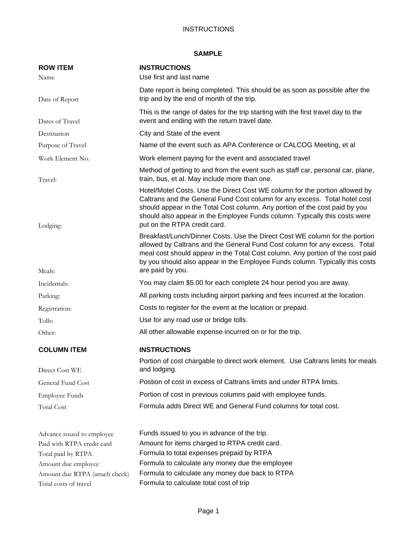#### **INSTRUCTIONS**

# **SAMPLE**

| <b>ROW ITEM</b>                | <b>INSTRUCTIONS</b>                                                                                                                                                                                                                                                                                                                                    |
|--------------------------------|--------------------------------------------------------------------------------------------------------------------------------------------------------------------------------------------------------------------------------------------------------------------------------------------------------------------------------------------------------|
| Name                           | Use first and last name                                                                                                                                                                                                                                                                                                                                |
| Date of Report                 | Date report is being completed. This should be as soon as possible after the<br>trip and by the end of month of the trip.                                                                                                                                                                                                                              |
| Dates of Travel                | This is the range of dates for the trip starting with the first travel day to the<br>event and ending with the return travel date.                                                                                                                                                                                                                     |
| Destination                    | City and State of the event                                                                                                                                                                                                                                                                                                                            |
| Purpose of Travel              | Name of the event such as APA Conference or CALCOG Meeting, et al                                                                                                                                                                                                                                                                                      |
| Work Element No.               | Work element paying for the event and associated travel                                                                                                                                                                                                                                                                                                |
| Travel:                        | Method of getting to and from the event such as staff car, personal car, plane,<br>train, bus, et al. May include more than one.                                                                                                                                                                                                                       |
| Lodging:                       | Hotel/Motel Costs. Use the Direct Cost WE column for the portion allowed by<br>Caltrans and the General Fund Cost column for any excess. Total hotel cost<br>should appear in the Total Cost column. Any portion of the cost paid by you<br>should also appear in the Employee Funds column. Typically this costs were<br>put on the RTPA credit card. |
|                                | Breakfast/Lunch/Dinner Costs. Use the Direct Cost WE column for the portion<br>allowed by Caltrans and the General Fund Cost column for any excess. Total<br>meal cost should appear in the Total Cost column. Any portion of the cost paid<br>by you should also appear in the Employee Funds column. Typically this costs<br>are paid by you.        |
| Meals:                         |                                                                                                                                                                                                                                                                                                                                                        |
| Incidentals:                   | You may claim \$5.00 for each complete 24 hour period you are away.                                                                                                                                                                                                                                                                                    |
| Parking:                       | All parking costs including airport parking and fees incurred at the location.                                                                                                                                                                                                                                                                         |
| Registration:                  | Costs to register for the event at the location or prepaid.                                                                                                                                                                                                                                                                                            |
| Tolls:                         | Use for any road use or bridge tolls.                                                                                                                                                                                                                                                                                                                  |
| Other:                         | All other allowable expense incurred on or for the trip.                                                                                                                                                                                                                                                                                               |
| <b>COLUMN ITEM</b>             | <b>INSTRUCTIONS</b>                                                                                                                                                                                                                                                                                                                                    |
| Direct Cost WE                 | Portion of cost chargable to direct work element. Use Caltrans limits for meals<br>and lodging.                                                                                                                                                                                                                                                        |
| General Fund Cost              | Postion of cost in excess of Caltrans limits and under RTPA limits.                                                                                                                                                                                                                                                                                    |
| <b>Employee Funds</b>          | Portion of cost in previous columns paid with employee funds.                                                                                                                                                                                                                                                                                          |
| <b>Total Cost</b>              | Formula adds Direct WE and General Fund columns for total cost.                                                                                                                                                                                                                                                                                        |
|                                |                                                                                                                                                                                                                                                                                                                                                        |
| Advance issued to employee     | Funds issued to you in advance of the trip.                                                                                                                                                                                                                                                                                                            |
| Paid with RTPA credit card     | Amount for items charged to RTPA credit card.                                                                                                                                                                                                                                                                                                          |
| Total paid by RTPA             | Formula to total expenses prepaid by RTPA                                                                                                                                                                                                                                                                                                              |
| Amount due employee            | Formula to calculate any money due the employee                                                                                                                                                                                                                                                                                                        |
| Amount due RTPA (attach check) | Formula to calculate any money due back to RTPA                                                                                                                                                                                                                                                                                                        |
| Total costs of travel          | Formula to calculate total cost of trip                                                                                                                                                                                                                                                                                                                |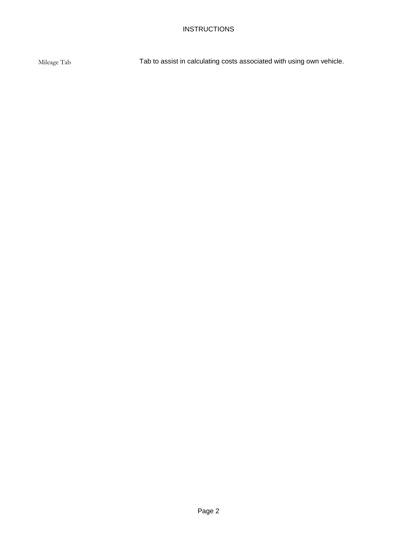Mileage Tab Tab to assist in calculating costs associated with using own vehicle.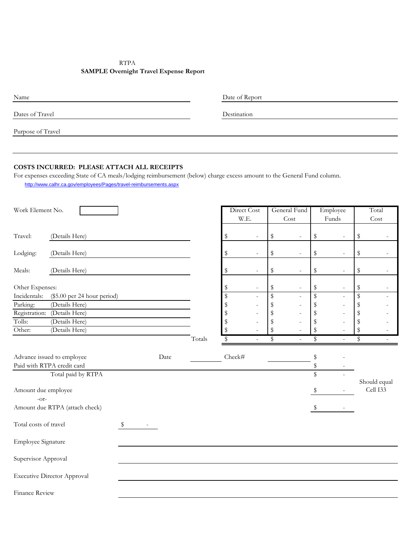## RTPA **SAMPLE Overnight Travel Expense Report**

| Name              | Date of Report |
|-------------------|----------------|
| Dates of Travel   | Destination    |
| Purpose of Travel |                |

#### **COSTS INCURRED: PLEASE ATTACH ALL RECEIPTS**

For expenses exceeding State of CA meals/lodging reimbursement (below) charge excess amount to the General Fund column. http://www.calhr.ca.gov/employees/Pages/travel-reimbursements.aspx

| Work Element No.              |                                    |      |        |             | Direct Cost              | General Fund                   |               | Employee                 |      | Total                    |
|-------------------------------|------------------------------------|------|--------|-------------|--------------------------|--------------------------------|---------------|--------------------------|------|--------------------------|
|                               |                                    |      |        |             | W.E.                     | Cost                           |               | Funds                    |      | Cost                     |
| Travel:                       | (Details Here)                     |      |        | \$          | ÷,                       | \$<br>$\sim$                   | \$            | $\overline{\phantom{a}}$ | \$   |                          |
| Lodging:                      | (Details Here)                     |      |        | \$          | $\overline{\phantom{a}}$ | \$<br>$\overline{\phantom{a}}$ | \$            | $\overline{\phantom{a}}$ | \$   | $\overline{\phantom{a}}$ |
| Meals:                        | (Details Here)                     |      |        | \$          | $\overline{a}$           | \$<br>$\overline{\phantom{a}}$ | \$            | $\bar{ }$                | \$   | $\overline{\phantom{a}}$ |
| Other Expenses:               |                                    |      |        | \$          | $\overline{\phantom{m}}$ | \$<br>$\overline{\phantom{a}}$ | \$            | $\overline{a}$           | \$   | $\overline{\phantom{a}}$ |
| Incidentals:                  | (\$5.00 per 24 hour period)        |      |        | $\mathbb S$ | ÷                        | \$<br>÷,                       | \$            |                          | \$   | ٠                        |
| Parking:                      | (Details Here)                     |      |        | $\mathbb S$ |                          | \$                             | \$            |                          | \$   |                          |
|                               | Registration: (Details Here)       |      |        | \$          |                          | \$                             | \$            |                          | $\,$ |                          |
| Tolls:                        | (Details Here)                     |      |        | \$          |                          | \$                             | \$            |                          | \$   |                          |
| Other:                        | (Details Here)                     |      |        | \$          |                          | \$                             | \$            |                          | \$   |                          |
|                               |                                    |      | Totals | S           | $\overline{\phantom{0}}$ | \$<br>$\overline{\phantom{a}}$ | \$            | $\bar{ }$                | \$   | $\overline{\phantom{a}}$ |
|                               | Advance issued to employee         | Date |        | Check#      |                          |                                | \$            |                          |      |                          |
|                               | Paid with RTPA credit card         |      |        |             |                          |                                | \$            |                          |      |                          |
|                               | Total paid by RTPA                 |      |        |             |                          |                                | ${\mathbb S}$ |                          |      |                          |
| Amount due employee<br>$-Or-$ |                                    |      |        |             |                          |                                | S             |                          |      | Should equal<br>Cell I33 |
|                               | Amount due RTPA (attach check)     |      |        |             |                          |                                | $\mathbb{S}$  |                          |      |                          |
| Total costs of travel         |                                    | \$   |        |             |                          |                                |               |                          |      |                          |
| Employee Signature            |                                    |      |        |             |                          |                                |               |                          |      |                          |
| Supervisor Approval           |                                    |      |        |             |                          |                                |               |                          |      |                          |
|                               | <b>Executive Director Approval</b> |      |        |             |                          |                                |               |                          |      |                          |
| <b>Finance Review</b>         |                                    |      |        |             |                          |                                |               |                          |      |                          |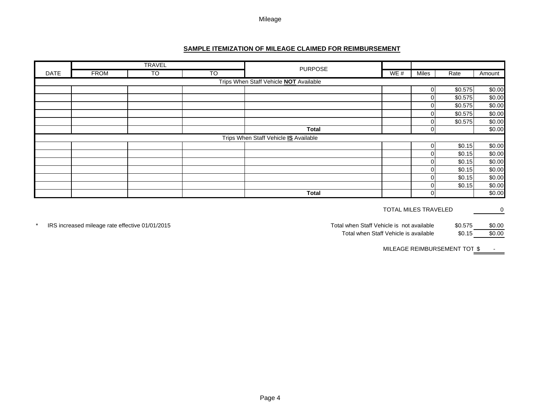#### **SAMPLE ITEMIZATION OF MILEAGE CLAIMED FOR REIMBURSEMENT**

|             |                                               | <b>TRAVEL</b> |           |                                       |     |       |         |        |  |  |
|-------------|-----------------------------------------------|---------------|-----------|---------------------------------------|-----|-------|---------|--------|--|--|
| <b>DATE</b> | <b>FROM</b>                                   | TO            | <b>TO</b> | <b>PURPOSE</b>                        | WE# | Miles | Rate    | Amount |  |  |
|             | Trips When Staff Vehicle <b>NOT</b> Available |               |           |                                       |     |       |         |        |  |  |
|             |                                               |               |           |                                       |     | ΩI    | \$0.575 | \$0.00 |  |  |
|             |                                               |               |           |                                       |     |       | \$0.575 | \$0.00 |  |  |
|             |                                               |               |           |                                       |     |       | \$0.575 | \$0.00 |  |  |
|             |                                               |               |           |                                       |     |       | \$0.575 | \$0.00 |  |  |
|             |                                               |               |           |                                       |     |       | \$0.575 | \$0.00 |  |  |
|             |                                               |               |           | <b>Total</b>                          |     |       |         | \$0.00 |  |  |
|             |                                               |               |           | Trips When Staff Vehicle IS Available |     |       |         |        |  |  |
|             |                                               |               |           |                                       |     | ΩI    | \$0.15  | \$0.00 |  |  |
|             |                                               |               |           |                                       |     |       | \$0.15  | \$0.00 |  |  |
|             |                                               |               |           |                                       |     |       | \$0.15  | \$0.00 |  |  |
|             |                                               |               |           |                                       |     |       | \$0.15  | \$0.00 |  |  |
|             |                                               |               |           |                                       |     |       | \$0.15  | \$0.00 |  |  |
|             |                                               |               |           |                                       |     |       | \$0.15  | \$0.00 |  |  |
|             |                                               |               |           | <b>Total</b>                          |     |       |         | \$0.00 |  |  |

TOTAL MILES TRAVELED 0

\* IRS increased mileage rate effective 01/01/2015 **And State and State and State and State and State and State State and State and State and State and State and State and State and State and State and State and State and S** 

Total when Staff Vehicle is available  $$0.15$  \$0.00

MILEAGE REIMBURSEMENT TOT\_\$ -